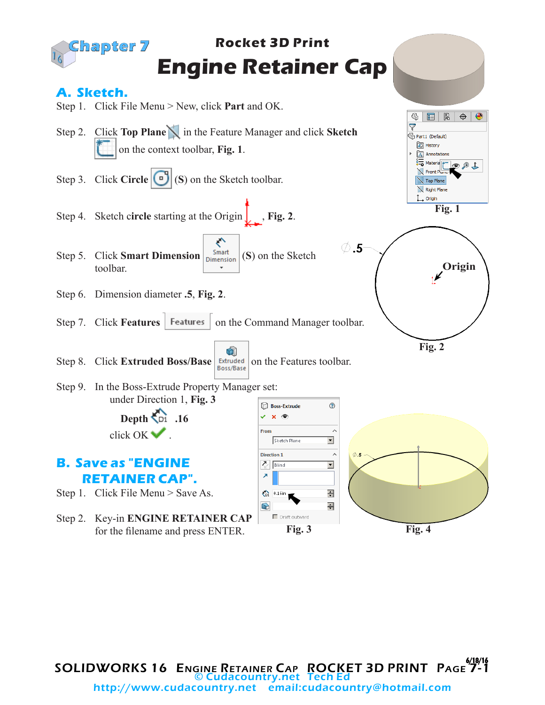

SOLIDWORKS 16 ENGINE RETAINER CAP ROCKET 3D PRINT PAGE 7-1 © Cudacountry.net Tech Ed http://www.cudacountry.net email:cudacountry@hotmail.com